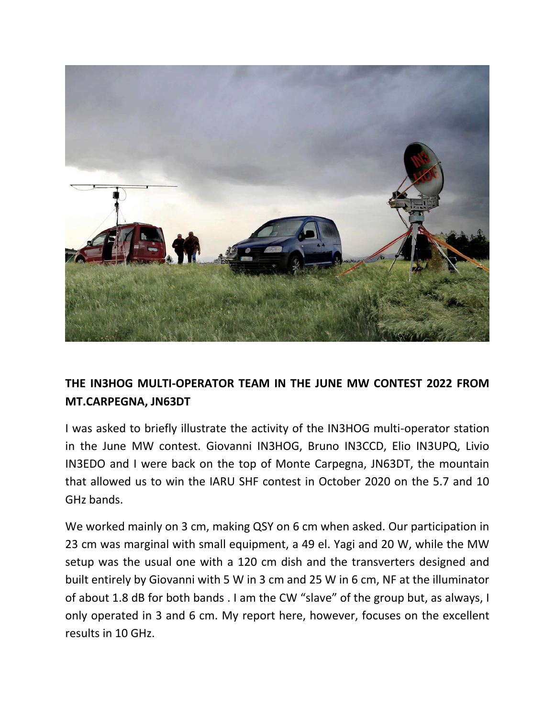

## **THE IN3HOG MULTI-OPERATOR TEAM IN THE JUNE MW CONTEST 2022 FROM MT.CARPEGNA, JN63DT**

I was asked to briefly illustrate the activity of the IN3HOG multi-operator station in the June MW contest. Giovanni IN3HOG, Bruno IN3CCD, Elio IN3UPQ, Livio IN3EDO and I were back on the top of Monte Carpegna, JN63DT, the mountain that allowed us to win the IARU SHF contest in October 2020 on the 5.7 and 10 GHz bands.

We worked mainly on 3 cm, making QSY on 6 cm when asked. Our participation in 23 cm was marginal with small equipment, a 49 el. Yagi and 20 W, while the MW setup was the usual one with a 120 cm dish and the transverters designed and built entirely by Giovanni with 5 W in 3 cm and 25 W in 6 cm, NF at the illuminator of about 1.8 dB for both bands . I am the CW "slave" of the group but, as always, I only operated in 3 and 6 cm. My report here, however, focuses on the excellent results in 10 GHz.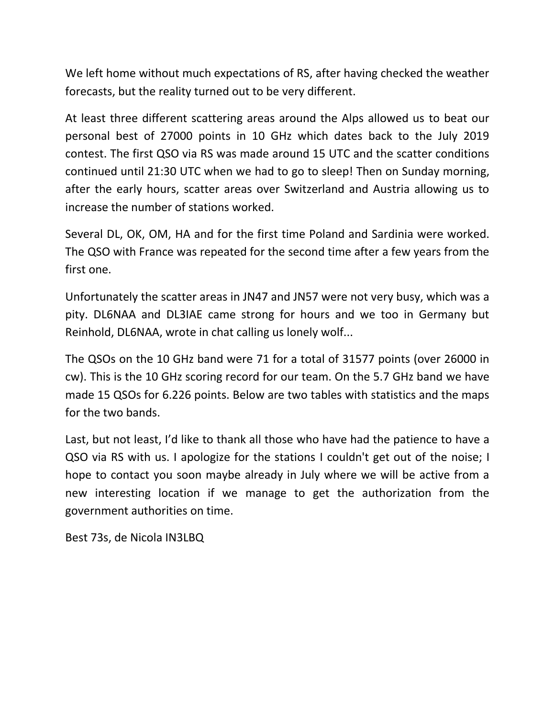We left home without much expectations of RS, after having checked the weather forecasts, but the reality turned out to be very different.

At least three different scattering areas around the Alps allowed us to beat our personal best of 27000 points in 10 GHz which dates back to the July 2019 contest. The first QSO via RS was made around 15 UTC and the scatter conditions continued until 21:30 UTC when we had to go to sleep! Then on Sunday morning, after the early hours, scatter areas over Switzerland and Austria allowing us to increase the number of stations worked.

Several DL, OK, OM, HA and for the first time Poland and Sardinia were worked. The QSO with France was repeated for the second time after a few years from the first one.

Unfortunately the scatter areas in JN47 and JN57 were not very busy, which was a pity. DL6NAA and DL3IAE came strong for hours and we too in Germany but Reinhold, DL6NAA, wrote in chat calling us lonely wolf...

The QSOs on the 10 GHz band were 71 for a total of 31577 points (over 26000 in cw). This is the 10 GHz scoring record for our team. On the 5.7 GHz band we have made 15 QSOs for 6.226 points. Below are two tables with statistics and the maps for the two bands.

Last, but not least, I'd like to thank all those who have had the patience to have a QSO via RS with us. I apologize for the stations I couldn't get out of the noise; I hope to contact you soon maybe already in July where we will be active from a new interesting location if we manage to get the authorization from the government authorities on time.

Best 73s, de Nicola IN3LBQ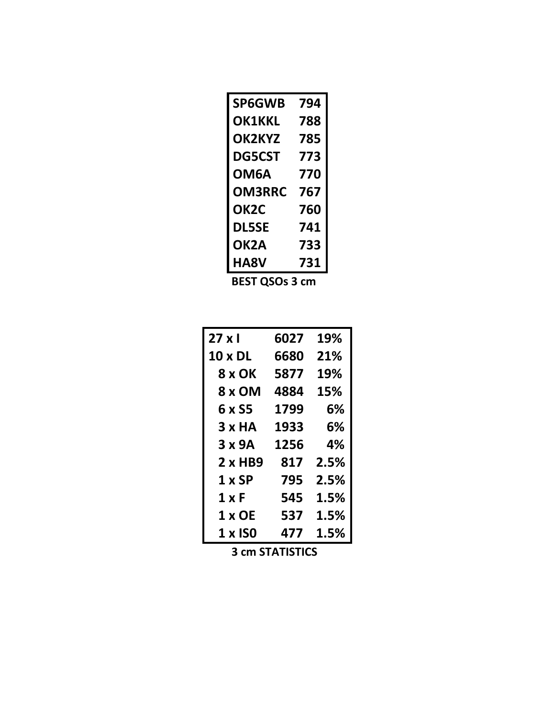| <b>SP6GWB</b>     | 794 |  |
|-------------------|-----|--|
| <b>OK1KKL</b>     | 788 |  |
| OK2KYZ            | 785 |  |
| <b>DG5CST</b>     | 773 |  |
| OM6A              | 770 |  |
| <b>OM3RRC</b>     | 767 |  |
| <b>OK2C</b>       | 760 |  |
| <b>DL5SE</b>      | 741 |  |
| OK <sub>2</sub> A | 733 |  |
| HA8V              | 731 |  |
|                   |     |  |

 **BEST QSOs 3 cm**

| $27 \times 1$  | 6027 | 19%  |
|----------------|------|------|
| <b>10 x DL</b> | 6680 | 21%  |
| 8 x OK         | 5877 | 19%  |
| 8 x OM         | 4884 | 15%  |
| 6 x S5         | 1799 | 6%   |
| 3xHA           | 1933 | 6%   |
| 3x9A           | 1256 | 4%   |
| $2 \times$ HB9 | 817  | 2.5% |
| 1 x SP         | 795  | 2.5% |
| 1 x F          | 545  | 1.5% |
| 1 x OE         | 537  | 1.5% |
| 1 x ISO        | 477  | 1.5% |

 **3 cm STATISTICS**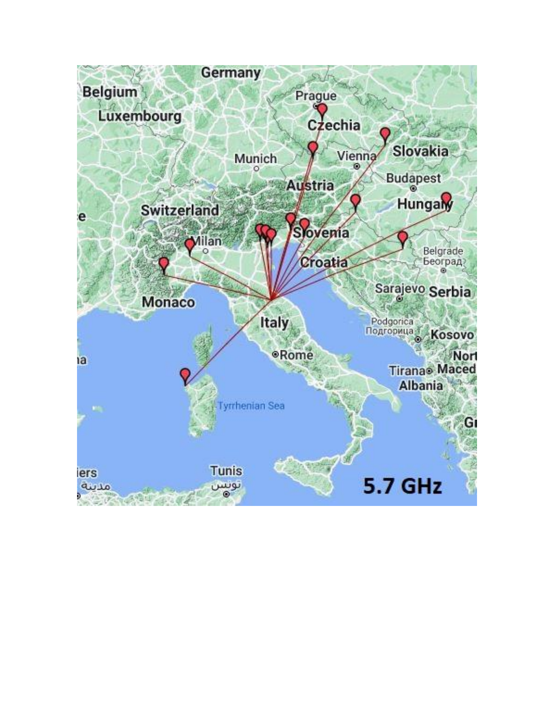